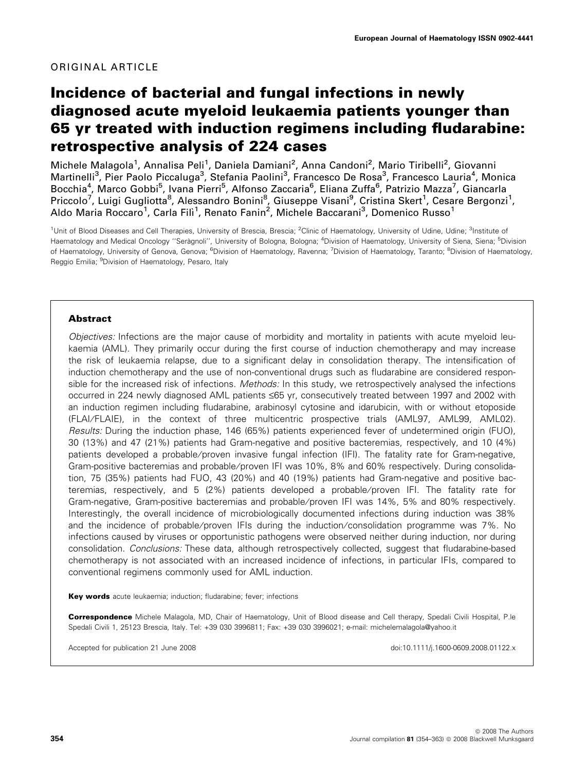# ORIGINAL ARTICLE

# Incidence of bacterial and fungal infections in newly diagnosed acute myeloid leukaemia patients younger than 65 yr treated with induction regimens including fludarabine: retrospective analysis of 224 cases

Michele Malagola<sup>1</sup>, Annalisa Peli<sup>1</sup>, Daniela Damiani<sup>2</sup>, Anna Candoni<sup>2</sup>, Mario Tiribelli<sup>2</sup>, Giovanni Martinelli<sup>3</sup>, Pier Paolo Piccaluga<sup>3</sup>, Stefania Paolini<sup>3</sup>, Francesco De Rosa<sup>3</sup>, Francesco Lauria<sup>4</sup>, Monica Bocchia<sup>4</sup>, Marco Gobbi<sup>5</sup>, Ivana Pierri<sup>5</sup>, Alfonso Zaccaria<sup>6</sup>, Eliana Zuffa<sup>6</sup>, Patrizio Mazza<sup>7</sup>, Giancarla Priccolo<sup>7</sup>, Luigi Gugliotta<sup>8</sup>, Alessandro Bonini<sup>8</sup>, Giuseppe Visani<sup>9</sup>, Cristina Skert<sup>1</sup>, Cesare Bergonzi<sup>1</sup>, Aldo Maria Roccaro<sup>1</sup>, Carla Filì<sup>1</sup>, Renato Fanin<sup>2</sup>, Michele Baccarani<sup>3</sup>, Domenico Russo<sup>1</sup>

<sup>1</sup>Unit of Blood Diseases and Cell Therapies, University of Brescia, Brescia; <sup>2</sup>Clinic of Haematology, University of Udine, Udine; <sup>3</sup>Institute of Haematology and Medical Oncology "Seràgnoli", University of Bologna, Bologna; <sup>4</sup>Division of Haematology, University of Siena, Siena; <sup>5</sup>Division of Haematology, University of Genova, Genova; <sup>6</sup>Division of Haematology, Ravenna; <sup>7</sup>Division of Haematology, Taranto; <sup>8</sup>Division of Haematology, Reggio Emilia; <sup>9</sup>Division of Haematology, Pesaro, Italy

# Abstract

Objectives: Infections are the major cause of morbidity and mortality in patients with acute myeloid leukaemia (AML). They primarily occur during the first course of induction chemotherapy and may increase the risk of leukaemia relapse, due to a significant delay in consolidation therapy. The intensification of induction chemotherapy and the use of non-conventional drugs such as fludarabine are considered responsible for the increased risk of infections. Methods: In this study, we retrospectively analysed the infections occurred in 224 newly diagnosed AML patients £65 yr, consecutively treated between 1997 and 2002 with an induction regimen including fludarabine, arabinosyl cytosine and idarubicin, with or without etoposide (FLAI/FLAIE), in the context of three multicentric prospective trials (AML97, AML99, AML02). Results: During the induction phase, 146 (65%) patients experienced fever of undetermined origin (FUO), 30 (13%) and 47 (21%) patients had Gram-negative and positive bacteremias, respectively, and 10 (4%) patients developed a probable/proven invasive fungal infection (IFI). The fatality rate for Gram-negative, Gram-positive bacteremias and probable ⁄ proven IFI was 10%, 8% and 60% respectively. During consolidation, 75 (35%) patients had FUO, 43 (20%) and 40 (19%) patients had Gram-negative and positive bacteremias, respectively, and 5 (2%) patients developed a probable/proven IFI. The fatality rate for Gram-negative, Gram-positive bacteremias and probable ⁄ proven IFI was 14%, 5% and 80% respectively. Interestingly, the overall incidence of microbiologically documented infections during induction was 38% and the incidence of probable/proven IFIs during the induction/consolidation programme was 7%. No infections caused by viruses or opportunistic pathogens were observed neither during induction, nor during consolidation. Conclusions: These data, although retrospectively collected, suggest that fludarabine-based chemotherapy is not associated with an increased incidence of infections, in particular IFIs, compared to conventional regimens commonly used for AML induction.

Key words acute leukaemia; induction; fludarabine; fever; infections

Correspondence Michele Malagola, MD, Chair of Haematology, Unit of Blood disease and Cell therapy, Spedali Civili Hospital, P.le Spedali Civili 1, 25123 Brescia, Italy. Tel: +39 030 3996811; Fax: +39 030 3996021; e-mail: michelemalagola@yahoo.it

Accepted for publication 21 June 2008 **building the set of the set of the set of the set of the set of the set of the set of the set of the set of the set of the set of the set of the set of the set of the set of the set o**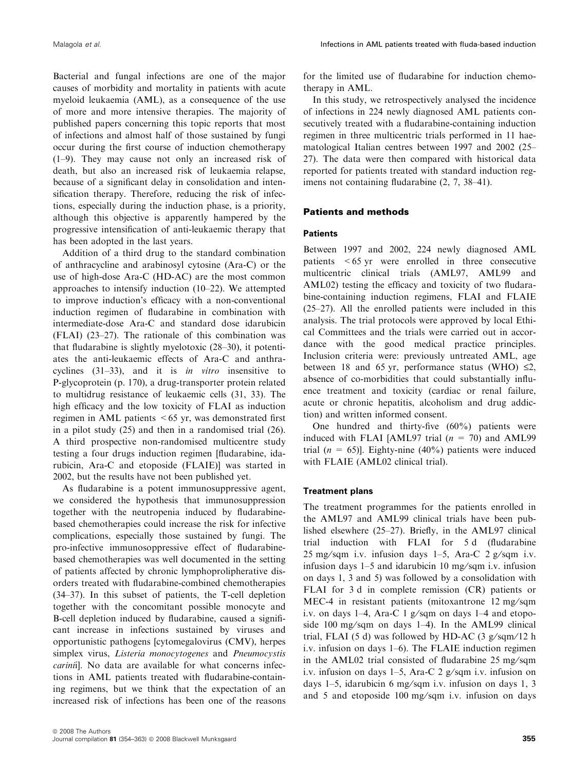Bacterial and fungal infections are one of the major causes of morbidity and mortality in patients with acute myeloid leukaemia (AML), as a consequence of the use of more and more intensive therapies. The majority of published papers concerning this topic reports that most of infections and almost half of those sustained by fungi occur during the first course of induction chemotherapy (1–9). They may cause not only an increased risk of death, but also an increased risk of leukaemia relapse, because of a significant delay in consolidation and intensification therapy. Therefore, reducing the risk of infections, especially during the induction phase, is a priority, although this objective is apparently hampered by the progressive intensification of anti-leukaemic therapy that has been adopted in the last years.

Addition of a third drug to the standard combination of anthracycline and arabinosyl cytosine (Ara-C) or the use of high-dose Ara-C (HD-AC) are the most common approaches to intensify induction (10–22). We attempted to improve induction's efficacy with a non-conventional induction regimen of fludarabine in combination with intermediate-dose Ara-C and standard dose idarubicin (FLAI) (23–27). The rationale of this combination was that fludarabine is slightly myelotoxic (28–30), it potentiates the anti-leukaemic effects of Ara-C and anthracyclines  $(31-33)$ , and it is *in vitro* insensitive to P-glycoprotein (p. 170), a drug-transporter protein related to multidrug resistance of leukaemic cells (31, 33). The high efficacy and the low toxicity of FLAI as induction regimen in AML patients  $\leq 65$  yr, was demonstrated first in a pilot study (25) and then in a randomised trial (26). A third prospective non-randomised multicentre study testing a four drugs induction regimen [fludarabine, idarubicin, Ara-C and etoposide (FLAIE)] was started in 2002, but the results have not been published yet.

As fludarabine is a potent immunosuppressive agent, we considered the hypothesis that immunosuppression together with the neutropenia induced by fludarabinebased chemotherapies could increase the risk for infective complications, especially those sustained by fungi. The pro-infective immunosoppressive effect of fludarabinebased chemotherapies was well documented in the setting of patients affected by chronic lymphoprolipherative disorders treated with fludarabine-combined chemotherapies (34–37). In this subset of patients, the T-cell depletion together with the concomitant possible monocyte and B-cell depletion induced by fludarabine, caused a significant increase in infections sustained by viruses and opportunistic pathogens [cytomegalovirus (CMV), herpes simplex virus, Listeria monocytogenes and Pneumocystis carinii. No data are available for what concerns infections in AML patients treated with fludarabine-containing regimens, but we think that the expectation of an increased risk of infections has been one of the reasons for the limited use of fludarabine for induction chemotherapy in AML.

In this study, we retrospectively analysed the incidence of infections in 224 newly diagnosed AML patients consecutively treated with a fludarabine-containing induction regimen in three multicentric trials performed in 11 haematological Italian centres between 1997 and 2002 (25– 27). The data were then compared with historical data reported for patients treated with standard induction regimens not containing fludarabine (2, 7, 38–41).

# Patients and methods

#### **Patients**

Between 1997 and 2002, 224 newly diagnosed AML patients <65 yr were enrolled in three consecutive multicentric clinical trials (AML97, AML99 and AML02) testing the efficacy and toxicity of two fludarabine-containing induction regimens, FLAI and FLAIE (25–27). All the enrolled patients were included in this analysis. The trial protocols were approved by local Ethical Committees and the trials were carried out in accordance with the good medical practice principles. Inclusion criteria were: previously untreated AML, age between 18 and 65 yr, performance status (WHO)  $\leq 2$ , absence of co-morbidities that could substantially influence treatment and toxicity (cardiac or renal failure, acute or chronic hepatitis, alcoholism and drug addiction) and written informed consent.

One hundred and thirty-five (60%) patients were induced with FLAI [AML97 trial  $(n = 70)$  and AML99 trial ( $n = 65$ ). Eighty-nine (40%) patients were induced with FLAIE (AML02 clinical trial).

#### Treatment plans

The treatment programmes for the patients enrolled in the AML97 and AML99 clinical trials have been published elsewhere (25–27). Briefly, in the AML97 clinical trial induction with FLAI for 5 d (fludarabine 25 mg/sqm i.v. infusion days 1–5, Ara-C 2 g/sqm i.v. infusion days  $1-5$  and idarubicin  $10$  mg/sqm i.v. infusion on days 1, 3 and 5) was followed by a consolidation with FLAI for 3 d in complete remission (CR) patients or MEC-4 in resistant patients (mitoxantrone 12 mg/sqm i.v. on days  $1-4$ , Ara-C 1 g/sqm on days  $1-4$  and etoposide 100 mg/sqm on days  $1-4$ ). In the AML99 clinical trial, FLAI (5 d) was followed by HD-AC (3  $g/sqm/12$  h i.v. infusion on days 1–6). The FLAIE induction regimen in the AML02 trial consisted of fludarabine  $25 \text{ mg/sgm}$ i.v. infusion on days  $1-5$ , Ara-C 2 g/sqm i.v. infusion on days 1–5, idarubicin 6 mg/sqm i.v. infusion on days 1, 3 and 5 and etoposide 100 mg/sqm i.v. infusion on days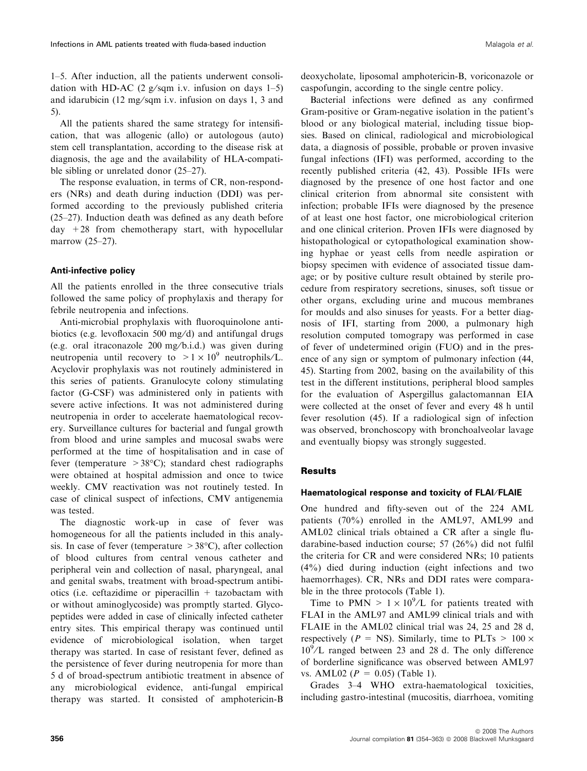1–5. After induction, all the patients underwent consolidation with HD-AC (2 g/sqm i.v. infusion on days  $1-5$ ) and idarubicin  $(12 \text{ mg/sgm i.v.}$  infusion on days 1, 3 and 5).

All the patients shared the same strategy for intensification, that was allogenic (allo) or autologous (auto) stem cell transplantation, according to the disease risk at diagnosis, the age and the availability of HLA-compatible sibling or unrelated donor (25–27).

The response evaluation, in terms of CR, non-responders (NRs) and death during induction (DDI) was performed according to the previously published criteria (25–27). Induction death was defined as any death before day  $+28$  from chemotherapy start, with hypocellular marrow (25–27).

# Anti-infective policy

All the patients enrolled in the three consecutive trials followed the same policy of prophylaxis and therapy for febrile neutropenia and infections.

Anti-microbial prophylaxis with fluoroquinolone antibiotics (e.g. levofloxacin 500 mg/d) and antifungal drugs (e.g. oral itraconazole 200 mg ⁄ b.i.d.) was given during neutropenia until recovery to  $>1 \times 10^9$  neutrophils/L. Acyclovir prophylaxis was not routinely administered in this series of patients. Granulocyte colony stimulating factor (G-CSF) was administered only in patients with severe active infections. It was not administered during neutropenia in order to accelerate haematological recovery. Surveillance cultures for bacterial and fungal growth from blood and urine samples and mucosal swabs were performed at the time of hospitalisation and in case of fever (temperature  $>38^{\circ}$ C); standard chest radiographs were obtained at hospital admission and once to twice weekly. CMV reactivation was not routinely tested. In case of clinical suspect of infections, CMV antigenemia was tested.

The diagnostic work-up in case of fever was homogeneous for all the patients included in this analysis. In case of fever (temperature  $> 38^{\circ}$ C), after collection of blood cultures from central venous catheter and peripheral vein and collection of nasal, pharyngeal, anal and genital swabs, treatment with broad-spectrum antibiotics (i.e. ceftazidime or piperacillin + tazobactam with or without aminoglycoside) was promptly started. Glycopeptides were added in case of clinically infected catheter entry sites. This empirical therapy was continued until evidence of microbiological isolation, when target therapy was started. In case of resistant fever, defined as the persistence of fever during neutropenia for more than 5 d of broad-spectrum antibiotic treatment in absence of any microbiological evidence, anti-fungal empirical therapy was started. It consisted of amphotericin-B deoxycholate, liposomal amphotericin-B, voriconazole or caspofungin, according to the single centre policy.

Bacterial infections were defined as any confirmed Gram-positive or Gram-negative isolation in the patient's blood or any biological material, including tissue biopsies. Based on clinical, radiological and microbiological data, a diagnosis of possible, probable or proven invasive fungal infections (IFI) was performed, according to the recently published criteria (42, 43). Possible IFIs were diagnosed by the presence of one host factor and one clinical criterion from abnormal site consistent with infection; probable IFIs were diagnosed by the presence of at least one host factor, one microbiological criterion and one clinical criterion. Proven IFIs were diagnosed by histopathological or cytopathological examination showing hyphae or yeast cells from needle aspiration or biopsy specimen with evidence of associated tissue damage; or by positive culture result obtained by sterile procedure from respiratory secretions, sinuses, soft tissue or other organs, excluding urine and mucous membranes for moulds and also sinuses for yeasts. For a better diagnosis of IFI, starting from 2000, a pulmonary high resolution computed tomograpy was performed in case of fever of undetermined origin (FUO) and in the presence of any sign or symptom of pulmonary infection (44, 45). Starting from 2002, basing on the availability of this test in the different institutions, peripheral blood samples for the evaluation of Aspergillus galactomannan EIA were collected at the onset of fever and every 48 h until fever resolution (45). If a radiological sign of infection was observed, bronchoscopy with bronchoalveolar lavage and eventually biopsy was strongly suggested.

# **Results**

#### Haematological response and toxicity of FLAI/FLAIE

One hundred and fifty-seven out of the 224 AML patients (70%) enrolled in the AML97, AML99 and AML02 clinical trials obtained a CR after a single fludarabine-based induction course; 57 (26%) did not fulfil the criteria for CR and were considered NRs; 10 patients (4%) died during induction (eight infections and two haemorrhages). CR, NRs and DDI rates were comparable in the three protocols (Table 1).

Time to PMN  $> 1 \times 10^9$ /L for patients treated with FLAI in the AML97 and AML99 clinical trials and with FLAIE in the AML02 clinical trial was 24, 25 and 28 d, respectively ( $P = NS$ ). Similarly, time to PLTs > 100  $\times$  $10^9$ /L ranged between 23 and 28 d. The only difference of borderline significance was observed between AML97 vs. AML02 ( $P = 0.05$ ) (Table 1).

Grades 3–4 WHO extra-haematological toxicities, including gastro-intestinal (mucositis, diarrhoea, vomiting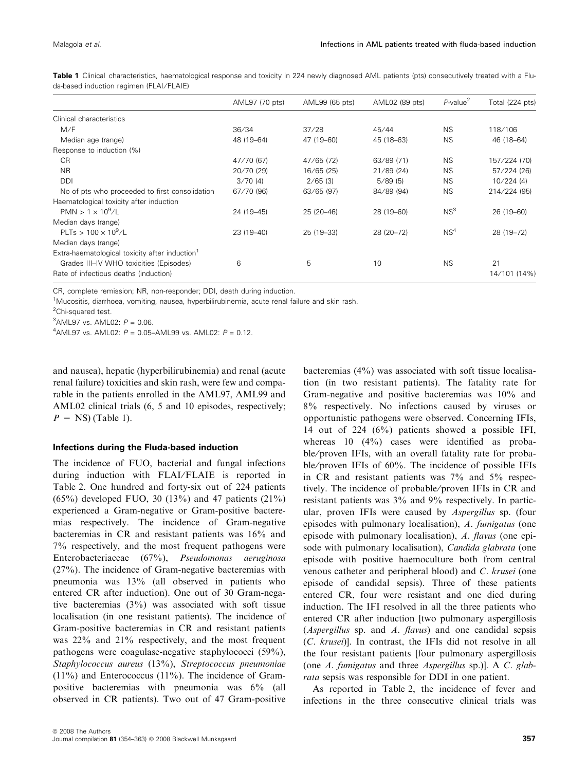|                                                                                                       | AML97 (70 pts) | AML99 (65 pts) | AML02 (89 pts) | $P$ -value <sup>2</sup> | Total (224 pts) |
|-------------------------------------------------------------------------------------------------------|----------------|----------------|----------------|-------------------------|-----------------|
| Clinical characteristics                                                                              |                |                |                |                         |                 |
| M/F                                                                                                   | 36/34          | 37/28          | 45/44          | <b>NS</b>               | 118/106         |
| Median age (range)                                                                                    | 48 (19-64)     | 47 (19-60)     | 45 (18-63)     | <b>NS</b>               | 46 (18-64)      |
| Response to induction (%)                                                                             |                |                |                |                         |                 |
| <b>CR</b>                                                                                             | 47/70 (67)     | 47/65 (72)     | 63/89 (71)     | <b>NS</b>               | 157/224 (70)    |
| <b>NR</b>                                                                                             | 20/70 (29)     | 16/65 (25)     | 21/89(24)      | <b>NS</b>               | 57/224 (26)     |
| <b>DDI</b>                                                                                            | 3/70(4)        | $2/65$ (3)     | 5/89(5)        | <b>NS</b>               | 10/224(4)       |
| No of pts who proceeded to first consolidation                                                        | 67/70 (96)     | 63/65(97)      | 84/89 (94)     | <b>NS</b>               | 214/224 (95)    |
| Haematological toxicity after induction                                                               |                |                |                |                         |                 |
| $PMN > 1 \times 10^9/L$                                                                               | 24 (19-45)     | 25 (20-46)     | 28 (19-60)     | NS <sup>3</sup>         | 26 (19-60)      |
| Median days (range)                                                                                   |                |                |                |                         |                 |
| PLTs $> 100 \times 10^9$ /L                                                                           | 23 (19-40)     | 25 (19 - 33)   | 28 (20-72)     | NS <sup>4</sup>         | 28 (19-72)      |
| Median days (range)                                                                                   |                |                |                |                         |                 |
| Extra-haematological toxicity after induction <sup>1</sup><br>Grades III-IV WHO toxicities (Episodes) | 6              | 5              | 10             | <b>NS</b>               | 21              |
| Rate of infectious deaths (induction)                                                                 |                |                |                |                         | 14/101 (14%)    |

Table 1 Clinical characteristics, haematological response and toxicity in 224 newly diagnosed AML patients (pts) consecutively treated with a Fluda-based induction regimen (FLAI/FLAIE)

CR, complete remission; NR, non-responder; DDI, death during induction.

<sup>1</sup>Mucositis, diarrhoea, vomiting, nausea, hyperbilirubinemia, acute renal failure and skin rash.

<sup>2</sup>Chi-squared test.

 $3$ AML97 vs. AML02:  $P = 0.06$ .

 $4$ AML97 vs. AML02:  $P = 0.05 -$ AML99 vs. AML02:  $P = 0.12$ .

and nausea), hepatic (hyperbilirubinemia) and renal (acute renal failure) toxicities and skin rash, were few and comparable in the patients enrolled in the AML97, AML99 and AML02 clinical trials  $(6, 5 \text{ and } 10 \text{ episodes},$  respectively;  $P = NS$ ) (Table 1).

#### Infections during the Fluda-based induction

The incidence of FUO, bacterial and fungal infections during induction with FLAI⁄FLAIE is reported in Table 2. One hundred and forty-six out of 224 patients  $(65\%)$  developed FUO, 30 (13%) and 47 patients (21%) experienced a Gram-negative or Gram-positive bacteremias respectively. The incidence of Gram-negative bacteremias in CR and resistant patients was 16% and 7% respectively, and the most frequent pathogens were Enterobacteriaceae (67%), Pseudomonas aeruginosa (27%). The incidence of Gram-negative bacteremias with pneumonia was 13% (all observed in patients who entered CR after induction). One out of 30 Gram-negative bacteremias (3%) was associated with soft tissue localisation (in one resistant patients). The incidence of Gram-positive bacteremias in CR and resistant patients was 22% and 21% respectively, and the most frequent pathogens were coagulase-negative staphylococci (59%), Staphylococcus aureus (13%), Streptococcus pneumoniae  $(11\%)$  and Enterococcus  $(11\%)$ . The incidence of Grampositive bacteremias with pneumonia was 6% (all observed in CR patients). Two out of 47 Gram-positive bacteremias (4%) was associated with soft tissue localisation (in two resistant patients). The fatality rate for Gram-negative and positive bacteremias was 10% and 8% respectively. No infections caused by viruses or opportunistic pathogens were observed. Concerning IFIs, 14 out of 224 (6%) patients showed a possible IFI, whereas 10 (4%) cases were identified as probable/proven IFIs, with an overall fatality rate for probable/proven IFIs of 60%. The incidence of possible IFIs in CR and resistant patients was 7% and 5% respectively. The incidence of probable ⁄ proven IFIs in CR and resistant patients was 3% and 9% respectively. In particular, proven IFIs were caused by Aspergillus sp. (four episodes with pulmonary localisation), A. fumigatus (one episode with pulmonary localisation), A. flavus (one episode with pulmonary localisation), Candida glabrata (one episode with positive haemoculture both from central venous catheter and peripheral blood) and C. krusei (one episode of candidal sepsis). Three of these patients entered CR, four were resistant and one died during induction. The IFI resolved in all the three patients who entered CR after induction [two pulmonary aspergillosis (Aspergillus sp. and A. flavus) and one candidal sepsis (C. krusei)]. In contrast, the IFIs did not resolve in all the four resistant patients [four pulmonary aspergillosis (one A. fumigatus and three Aspergillus sp.)]. A C. glabrata sepsis was responsible for DDI in one patient.

As reported in Table 2, the incidence of fever and infections in the three consecutive clinical trials was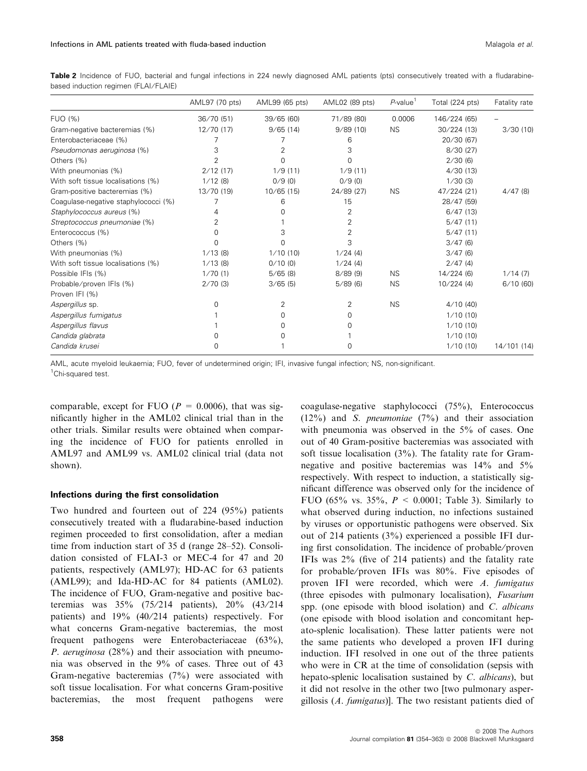| Table 2 Incidence of FUO, bacterial and fungal infections in 224 newly diagnosed AML patients (pts) consecutively treated with a fludarabine- |  |  |  |  |  |
|-----------------------------------------------------------------------------------------------------------------------------------------------|--|--|--|--|--|
| based induction regimen (FLAI/FLAIE)                                                                                                          |  |  |  |  |  |

|                                      | AML97 (70 pts) | AML99 (65 pts) | AML02 (89 pts) | $P$ -value <sup>1</sup> | Total (224 pts) | Fatality rate |
|--------------------------------------|----------------|----------------|----------------|-------------------------|-----------------|---------------|
| FUO (%)                              | 36/70 (51)     | 39/65(60)      | 71/89 (80)     | 0.0006                  | 146/224 (65)    |               |
| Gram-negative bacteremias (%)        | 12/70 (17)     | 9/65(14)       | 9/89(10)       | NS.                     | 30/224 (13)     | 3/30(10)      |
| Enterobacteriaceae (%)               |                |                | 6              |                         | 20/30 (67)      |               |
| Pseudomonas aeruginosa (%)           | 3              |                | 3              |                         | 8/30(27)        |               |
| Others (%)                           |                | 0              | $\Omega$       |                         | 2/30(6)         |               |
| With pneumonias (%)                  | 2/12(17)       | 1/9(11)        | 1/9(11)        |                         | 4/30(13)        |               |
| With soft tissue localisations (%)   | 1/12(8)        | 0/9(0)         | 0/9(0)         |                         | 1/30(3)         |               |
| Gram-positive bacteremias (%)        | 13/70 (19)     | 10/65(15)      | 24/89 (27)     | <b>NS</b>               | 47/224 (21)     | 4/47(8)       |
| Coagulase-negative staphylococci (%) |                | 6              | 15             |                         | 28/47 (59)      |               |
| Staphylococcus aureus (%)            |                |                | 2              |                         | 6/47(13)        |               |
| Streptococcus pneumoniae (%)         |                |                | 2              |                         | 5/47(11)        |               |
| Enterococcus (%)                     |                | З              | 2              |                         | 5/47(11)        |               |
| Others (%)                           |                | 0              | 3              |                         | 3/47(6)         |               |
| With pneumonias (%)                  | 1/13(8)        | 1/10(10)       | 1/24(4)        |                         | 3/47(6)         |               |
| With soft tissue localisations (%)   | 1/13(8)        | 0/10(0)        | 1/24(4)        |                         | 2/47(4)         |               |
| Possible IFIs (%)                    | 1/70(1)        | 5/65(8)        | 8/89(9)        | <b>NS</b>               | 14/224(6)       | 1/14(7)       |
| Probable/proven IFIs (%)             | 2/70(3)        | 3/65(5)        | 5/89(6)        | <b>NS</b>               | 10/224(4)       | 6/10(60)      |
| Proven IFI (%)                       |                |                |                |                         |                 |               |
| Aspergillus sp.                      | U              | 2              | $\overline{2}$ | <b>NS</b>               | 4/10(40)        |               |
| Aspergillus fumigatus                |                |                | 0              |                         | 1/10(10)        |               |
| Aspergillus flavus                   |                |                | 0              |                         | 1/10(10)        |               |
| Candida glabrata                     |                |                |                |                         | 1/10(10)        |               |
| Candida krusei                       | 0              |                | 0              |                         | 1/10(10)        | 14/101 (14)   |

AML, acute myeloid leukaemia; FUO, fever of undetermined origin; IFI, invasive fungal infection; NS, non-significant.

<sup>1</sup>Chi-squared test.

comparable, except for FUO ( $P = 0.0006$ ), that was significantly higher in the AML02 clinical trial than in the other trials. Similar results were obtained when comparing the incidence of FUO for patients enrolled in AML97 and AML99 vs. AML02 clinical trial (data not shown).

#### Infections during the first consolidation

Two hundred and fourteen out of 224 (95%) patients consecutively treated with a fludarabine-based induction regimen proceeded to first consolidation, after a median time from induction start of 35 d (range 28–52). Consolidation consisted of FLAI-3 or MEC-4 for 47 and 20 patients, respectively (AML97); HD-AC for 63 patients (AML99); and Ida-HD-AC for 84 patients (AML02). The incidence of FUO, Gram-negative and positive bacteremias was  $35\%$  (75/214 patients),  $20\%$  (43/214 patients) and  $19\%$  (40/214 patients) respectively. For what concerns Gram-negative bacteremias, the most frequent pathogens were Enterobacteriaceae (63%), P. aeruginosa (28%) and their association with pneumonia was observed in the 9% of cases. Three out of 43 Gram-negative bacteremias (7%) were associated with soft tissue localisation. For what concerns Gram-positive bacteremias, the most frequent pathogens were with pneumonia was observed in the 5% of cases. One out of 40 Gram-positive bacteremias was associated with soft tissue localisation (3%). The fatality rate for Gramnegative and positive bacteremias was 14% and 5% respectively. With respect to induction, a statistically significant difference was observed only for the incidence of FUO (65% vs. 35%,  $P < 0.0001$ ; Table 3). Similarly to what observed during induction, no infections sustained by viruses or opportunistic pathogens were observed. Six out of 214 patients (3%) experienced a possible IFI during first consolidation. The incidence of probable ⁄ proven IFIs was 2% (five of 214 patients) and the fatality rate for probable/proven IFIs was 80%. Five episodes of proven IFI were recorded, which were A. fumigatus (three episodes with pulmonary localisation), Fusarium spp. (one episode with blood isolation) and C. albicans (one episode with blood isolation and concomitant hepato-splenic localisation). These latter patients were not the same patients who developed a proven IFI during induction. IFI resolved in one out of the three patients who were in CR at the time of consolidation (sepsis with hepato-splenic localisation sustained by C. albicans), but it did not resolve in the other two [two pulmonary aspergillosis (A. fumigatus)]. The two resistant patients died of

coagulase-negative staphylococci (75%), Enterococcus (12%) and S. pneumoniae (7%) and their association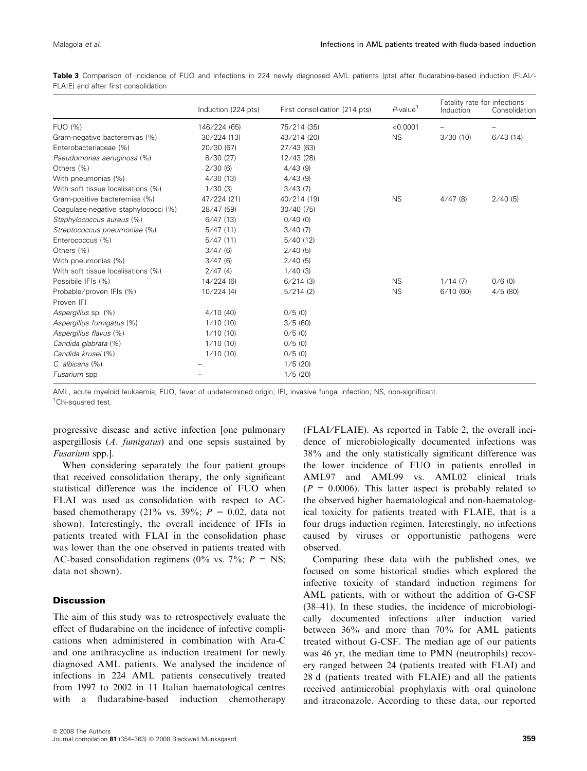|  |                                      |  |  |  |  |  | Table 3 Comparison of incidence of FUO and infections in 224 newly diagnosed AML patients (pts) after fludarabine-based induction (FLAI/- |  |
|--|--------------------------------------|--|--|--|--|--|-------------------------------------------------------------------------------------------------------------------------------------------|--|
|  | FLAIE) and after first consolidation |  |  |  |  |  |                                                                                                                                           |  |

|                                      | Induction (224 pts) | First consolidation (214 pts) | $P$ -value <sup>1</sup> | Fatality rate for infections<br>Induction | Consolidation |
|--------------------------------------|---------------------|-------------------------------|-------------------------|-------------------------------------------|---------------|
| FUO (%)                              | 146/224 (65)        | 75/214 (35)                   | < 0.0001                |                                           |               |
| Gram-negative bacteremias (%)        | 30/224 (13)         | 43/214 (20)                   | <b>NS</b>               | 3/30(10)                                  | 6/43(14)      |
| Enterobacteriaceae (%)               | 20/30 (67)          | 27/43(63)                     |                         |                                           |               |
| Pseudomonas aeruginosa (%)           | 8/30(27)            | 12/43 (28)                    |                         |                                           |               |
| Others (%)                           | 2/30(6)             | 4/43(9)                       |                         |                                           |               |
| With pneumonias (%)                  | 4/30(13)            | 4/43(9)                       |                         |                                           |               |
| With soft tissue localisations (%)   | 1/30(3)             | 3/43(7)                       |                         |                                           |               |
| Gram-positive bacteremias (%)        | 47/224 (21)         | 40/214 (19)                   | <b>NS</b>               | 4/47(8)                                   | 2/40(5)       |
| Coagulase-negative staphylococci (%) | 28/47 (59)          | 30/40(75)                     |                         |                                           |               |
| Staphylococcus aureus (%)            | 6/47(13)            | 0/40(0)                       |                         |                                           |               |
| Streptococcus pneumoniae (%)         | 5/47(11)            | 3/40(7)                       |                         |                                           |               |
| Enterococcus (%)                     | 5/47(11)            | 5/40(12)                      |                         |                                           |               |
| Others (%)                           | 3/47(6)             | 2/40(5)                       |                         |                                           |               |
| With pneumonias (%)                  | 3/47(6)             | 2/40(5)                       |                         |                                           |               |
| With soft tissue localisations (%)   | 2/47(4)             | 1/40(3)                       |                         |                                           |               |
| Possibile IFIs (%)                   | 14/224(6)           | $6/214$ (3)                   | <b>NS</b>               | 1/14(7)                                   | $0/6$ (0)     |
| Probable/proven IFIs (%)             | 10/224(4)           | $5/214$ (2)                   | <b>NS</b>               | 6/10(60)                                  | 4/5(80)       |
| Proven IFI                           |                     |                               |                         |                                           |               |
| Aspergillus sp. (%)                  | 4/10(40)            | 0/5(0)                        |                         |                                           |               |
| Aspergillus fumigatus (%)            | 1/10(10)            | 3/5(60)                       |                         |                                           |               |
| Aspergillus flavus (%)               | 1/10(10)            | 0/5(0)                        |                         |                                           |               |
| Candida glabrata (%)                 | 1/10(10)            | 0/5(0)                        |                         |                                           |               |
| Candida krusei (%)                   | 1/10(10)            | 0/5(0)                        |                         |                                           |               |
| $C.$ albicans $(\%)$                 |                     | 1/5(20)                       |                         |                                           |               |
| Fusarium spp                         |                     | 1/5(20)                       |                         |                                           |               |

AML, acute myeloid leukaemia; FUO, fever of undetermined origin; IFI, invasive fungal infection; NS, non-significant. <sup>1</sup>Chi-squared test.

progressive disease and active infection [one pulmonary aspergillosis (A. fumigatus) and one sepsis sustained by Fusarium spp.].

When considering separately the four patient groups that received consolidation therapy, the only significant statistical difference was the incidence of FUO when FLAI was used as consolidation with respect to ACbased chemotherapy (21% vs. 39%;  $P = 0.02$ , data not shown). Interestingly, the overall incidence of IFIs in patients treated with FLAI in the consolidation phase was lower than the one observed in patients treated with AC-based consolidation regimens (0% vs. 7%;  $P = NS$ ; data not shown).

# **Discussion**

The aim of this study was to retrospectively evaluate the effect of fludarabine on the incidence of infective complications when administered in combination with Ara-C and one anthracycline as induction treatment for newly diagnosed AML patients. We analysed the incidence of infections in 224 AML patients consecutively treated from 1997 to 2002 in 11 Italian haematological centres with a fludarabine-based induction chemotherapy

(FLAI⁄FLAIE). As reported in Table 2, the overall incidence of microbiologically documented infections was 38% and the only statistically significant difference was the lower incidence of FUO in patients enrolled in AML97 and AML99 vs. AML02 clinical trials  $(P = 0.0006)$ . This latter aspect is probably related to the observed higher haematological and non-haematological toxicity for patients treated with FLAIE, that is a four drugs induction regimen. Interestingly, no infections caused by viruses or opportunistic pathogens were observed.

Comparing these data with the published ones, we focused on some historical studies which explored the infective toxicity of standard induction regimens for AML patients, with or without the addition of G-CSF (38–41). In these studies, the incidence of microbiologically documented infections after induction varied between 36% and more than 70% for AML patients treated without G-CSF. The median age of our patients was 46 yr, the median time to PMN (neutrophils) recovery ranged between 24 (patients treated with FLAI) and 28 d (patients treated with FLAIE) and all the patients received antimicrobial prophylaxis with oral quinolone and itraconazole. According to these data, our reported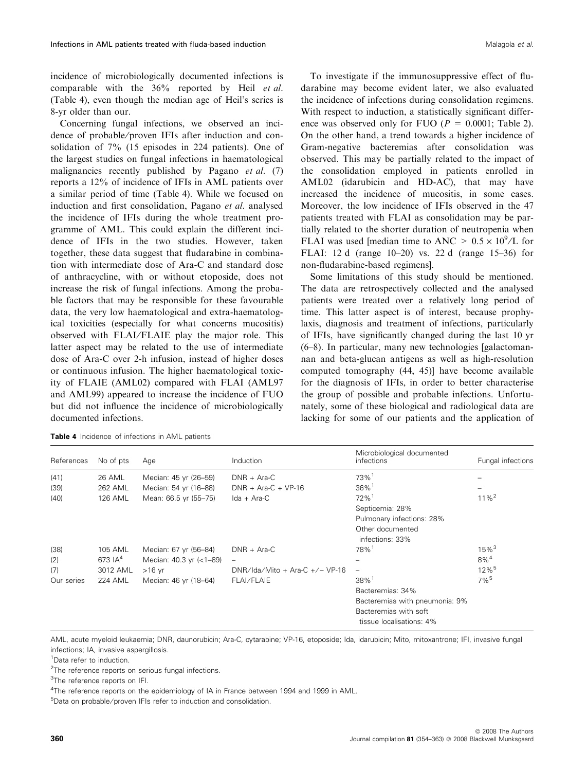incidence of microbiologically documented infections is comparable with the 36% reported by Heil et al. (Table 4), even though the median age of Heil's series is 8-yr older than our.

Concerning fungal infections, we observed an incidence of probable/proven IFIs after induction and consolidation of 7% (15 episodes in 224 patients). One of the largest studies on fungal infections in haematological malignancies recently published by Pagano et al. (7) reports a 12% of incidence of IFIs in AML patients over a similar period of time (Table 4). While we focused on induction and first consolidation, Pagano et al. analysed the incidence of IFIs during the whole treatment programme of AML. This could explain the different incidence of IFIs in the two studies. However, taken together, these data suggest that fludarabine in combination with intermediate dose of Ara-C and standard dose of anthracycline, with or without etoposide, does not increase the risk of fungal infections. Among the probable factors that may be responsible for these favourable data, the very low haematological and extra-haematological toxicities (especially for what concerns mucositis) observed with FLAI⁄FLAIE play the major role. This latter aspect may be related to the use of intermediate dose of Ara-C over 2-h infusion, instead of higher doses or continuous infusion. The higher haematological toxicity of FLAIE (AML02) compared with FLAI (AML97 and AML99) appeared to increase the incidence of FUO but did not influence the incidence of microbiologically documented infections.

Table 4 Incidence of infections in AML patients

To investigate if the immunosuppressive effect of fludarabine may become evident later, we also evaluated the incidence of infections during consolidation regimens. With respect to induction, a statistically significant difference was observed only for FUO ( $P = 0.0001$ ; Table 2). On the other hand, a trend towards a higher incidence of Gram-negative bacteremias after consolidation was observed. This may be partially related to the impact of the consolidation employed in patients enrolled in AML02 (idarubicin and HD-AC), that may have increased the incidence of mucositis, in some cases. Moreover, the low incidence of IFIs observed in the 47 patients treated with FLAI as consolidation may be partially related to the shorter duration of neutropenia when FLAI was used [median time to ANC  $> 0.5 \times 10^9$ /L for FLAI: 12 d (range 10–20) vs. 22 d (range 15–36) for non-fludarabine-based regimens].

Some limitations of this study should be mentioned. The data are retrospectively collected and the analysed patients were treated over a relatively long period of time. This latter aspect is of interest, because prophylaxis, diagnosis and treatment of infections, particularly of IFIs, have significantly changed during the last 10 yr (6–8). In particular, many new technologies [galactomannan and beta-glucan antigens as well as high-resolution computed tomography (44, 45)] have become available for the diagnosis of IFIs, in order to better characterise the group of possible and probable infections. Unfortunately, some of these biological and radiological data are lacking for some of our patients and the application of

| References | No of pts      | Age                     | <b>Induction</b>               | Microbiological documented<br>infections | Fungal infections        |
|------------|----------------|-------------------------|--------------------------------|------------------------------------------|--------------------------|
| (41)       | 26 AML         | Median: 45 yr (26-59)   | $DNR + Ara-C$                  | $73%$ <sup>1</sup>                       |                          |
| (39)       | 262 AML        | Median: 54 yr (16-88)   | $DNR + Ara-C + VP-16$          | $36\%$ <sup>1</sup>                      | $\overline{\phantom{0}}$ |
| (40)       | <b>126 AML</b> | Mean: 66.5 yr (55-75)   | $Ida + Ara-C$                  | $72\%$ <sup>1</sup>                      | $11\%^2$                 |
|            |                |                         |                                | Septicemia: 28%                          |                          |
|            |                |                         |                                | Pulmonary infections: 28%                |                          |
|            |                |                         |                                | Other documented                         |                          |
|            |                |                         |                                | infections: 33%                          |                          |
| (38)       | 105 AML        | Median: 67 yr (56-84)   | $DNR + Ara-C$                  | 78% <sup>1</sup>                         | $15\%$ <sup>3</sup>      |
| (2)        | 673 $IA4$      | Median: 40.3 yr (<1-89) | $\overline{\phantom{0}}$       |                                          | $8\%^{4}$                |
| (7)        | 3012 AML       | $>16$ yr                | DNR/Ida/Mito + Ara-C +/- VP-16 |                                          | 12% <sup>5</sup>         |
| Our series | <b>224 AML</b> | Median: 46 yr (18-64)   | <b>FLAI/FLAIE</b>              | $38\%$ <sup>1</sup>                      | $7\%$ <sup>5</sup>       |
|            |                |                         |                                | Bacteremias: 34%                         |                          |
|            |                |                         |                                | Bacteremias with pneumonia: 9%           |                          |
|            |                |                         |                                | Bacteremias with soft                    |                          |
|            |                |                         |                                | tissue localisations: 4%                 |                          |

AML, acute myeloid leukaemia; DNR, daunorubicin; Ara-C, cytarabine; VP-16, etoposide; Ida, idarubicin; Mito, mitoxantrone; IFI, invasive fungal infections; IA, invasive aspergillosis.

<sup>1</sup> Data refer to induction.

<sup>2</sup>The reference reports on serious fungal infections.

<sup>3</sup>The reference reports on IFI.

<sup>4</sup>The reference reports on the epidemiology of IA in France between 1994 and 1999 in AML.

5 Data on probable ⁄ proven IFIs refer to induction and consolidation.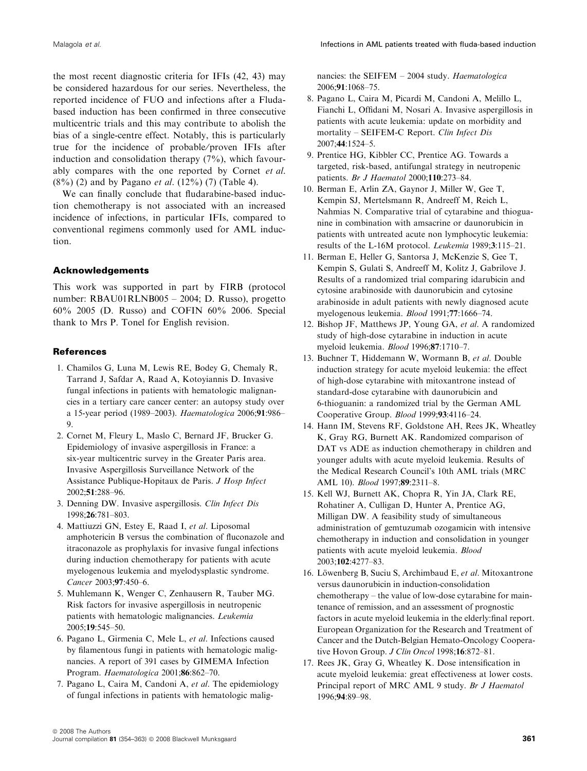the most recent diagnostic criteria for IFIs (42, 43) may be considered hazardous for our series. Nevertheless, the reported incidence of FUO and infections after a Fludabased induction has been confirmed in three consecutive multicentric trials and this may contribute to abolish the bias of a single-centre effect. Notably, this is particularly true for the incidence of probable/proven IFIs after induction and consolidation therapy  $(7%)$ , which favourably compares with the one reported by Cornet et al.  $(8\%)$  (2) and by Pagano *et al.*  $(12\%)$  (7) (Table 4).

We can finally conclude that fludarabine-based induction chemotherapy is not associated with an increased incidence of infections, in particular IFIs, compared to conventional regimens commonly used for AML induction.

# Acknowledgements

This work was supported in part by FIRB (protocol number: RBAU01RLNB005 – 2004; D. Russo), progetto 60% 2005 (D. Russo) and COFIN 60% 2006. Special thank to Mrs P. Tonel for English revision.

#### **References**

- 1. Chamilos G, Luna M, Lewis RE, Bodey G, Chemaly R, Tarrand J, Safdar A, Raad A, Kotoyiannis D. Invasive fungal infections in patients with hematologic malignancies in a tertiary care cancer center: an autopsy study over a 15-year period (1989–2003). Haematologica 2006;91:986– 9.
- 2. Cornet M, Fleury L, Maslo C, Bernard JF, Brucker G. Epidemiology of invasive aspergillosis in France: a six-year multicentric survey in the Greater Paris area. Invasive Aspergillosis Surveillance Network of the Assistance Publique-Hopitaux de Paris. J Hosp Infect 2002;51:288–96.
- 3. Denning DW. Invasive aspergillosis. Clin Infect Dis 1998;26:781–803.
- 4. Mattiuzzi GN, Estey E, Raad I, et al. Liposomal amphotericin B versus the combination of fluconazole and itraconazole as prophylaxis for invasive fungal infections during induction chemotherapy for patients with acute myelogenous leukemia and myelodysplastic syndrome. Cancer 2003;97:450–6.
- 5. Muhlemann K, Wenger C, Zenhausern R, Tauber MG. Risk factors for invasive aspergillosis in neutropenic patients with hematologic malignancies. Leukemia 2005;19:545–50.
- 6. Pagano L, Girmenia C, Mele L, et al. Infections caused by filamentous fungi in patients with hematologic malignancies. A report of 391 cases by GIMEMA Infection Program. Haematologica 2001;86:862–70.
- 7. Pagano L, Caira M, Candoni A, et al. The epidemiology of fungal infections in patients with hematologic malig-

nancies: the SEIFEM – 2004 study. Haematologica 2006;91:1068–75.

- 8. Pagano L, Caira M, Picardi M, Candoni A, Melillo L, Fianchi L, Offidani M, Nosari A. Invasive aspergillosis in patients with acute leukemia: update on morbidity and mortality – SEIFEM-C Report. Clin Infect Dis 2007;44:1524–5.
- 9. Prentice HG, Kibbler CC, Prentice AG. Towards a targeted, risk-based, antifungal strategy in neutropenic patients. Br J Haematol 2000;110:273–84.
- 10. Berman E, Arlin ZA, Gaynor J, Miller W, Gee T, Kempin SJ, Mertelsmann R, Andreeff M, Reich L, Nahmias N. Comparative trial of cytarabine and thioguanine in combination with amsacrine or daunorubicin in patients with untreated acute non lymphocytic leukemia: results of the L-16M protocol. Leukemia 1989;3:115–21.
- 11. Berman E, Heller G, Santorsa J, McKenzie S, Gee T, Kempin S, Gulati S, Andreeff M, Kolitz J, Gabrilove J. Results of a randomized trial comparing idarubicin and cytosine arabinoside with daunorubicin and cytosine arabinoside in adult patients with newly diagnosed acute myelogenous leukemia. Blood 1991;77:1666–74.
- 12. Bishop JF, Matthews JP, Young GA, et al. A randomized study of high-dose cytarabine in induction in acute myeloid leukemia. Blood 1996;87:1710–7.
- 13. Buchner T, Hiddemann W, Wormann B, et al. Double induction strategy for acute myeloid leukemia: the effect of high-dose cytarabine with mitoxantrone instead of standard-dose cytarabine with daunorubicin and 6-thioguanin: a randomized trial by the German AML Cooperative Group. Blood 1999;93:4116–24.
- 14. Hann IM, Stevens RF, Goldstone AH, Rees JK, Wheatley K, Gray RG, Burnett AK. Randomized comparison of DAT vs ADE as induction chemotherapy in children and younger adults with acute myeloid leukemia. Results of the Medical Research Council's 10th AML trials (MRC AML 10). Blood 1997;89:2311–8.
- 15. Kell WJ, Burnett AK, Chopra R, Yin JA, Clark RE, Rohatiner A, Culligan D, Hunter A, Prentice AG, Milligan DW. A feasibility study of simultaneous administration of gemtuzumab ozogamicin with intensive chemotherapy in induction and consolidation in younger patients with acute myeloid leukemia. Blood 2003;102:4277–83.
- 16. Löwenberg B, Suciu S, Archimbaud E, et al. Mitoxantrone versus daunorubicin in induction-consolidation chemotherapy – the value of low-dose cytarabine for maintenance of remission, and an assessment of prognostic factors in acute myeloid leukemia in the elderly:final report. European Organization for the Research and Treatment of Cancer and the Dutch-Belgian Hemato-Oncology Cooperative Hovon Group. J Clin Oncol 1998;16:872-81.
- 17. Rees JK, Gray G, Wheatley K. Dose intensification in acute myeloid leukemia: great effectiveness at lower costs. Principal report of MRC AML 9 study. Br J Haematol 1996;94:89–98.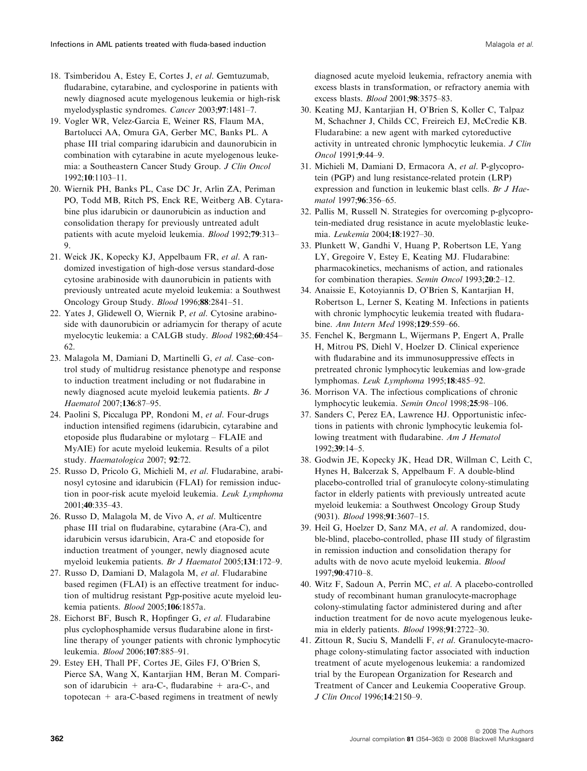- 18. Tsimberidou A, Estey E, Cortes J, et al. Gemtuzumab, fludarabine, cytarabine, and cyclosporine in patients with newly diagnosed acute myelogenous leukemia or high-risk myelodysplastic syndromes. Cancer 2003;97:1481–7.
- 19. Vogler WR, Velez-Garcia E, Weiner RS, Flaum MA, Bartolucci AA, Omura GA, Gerber MC, Banks PL. A phase III trial comparing idarubicin and daunorubicin in combination with cytarabine in acute myelogenous leukemia: a Southeastern Cancer Study Group. J Clin Oncol 1992;10:1103–11.
- 20. Wiernik PH, Banks PL, Case DC Jr, Arlin ZA, Periman PO, Todd MB, Ritch PS, Enck RE, Weitberg AB. Cytarabine plus idarubicin or daunorubicin as induction and consolidation therapy for previously untreated adult patients with acute myeloid leukemia. Blood 1992;79:313– 9.
- 21. Weick JK, Kopecky KJ, Appelbaum FR, et al. A randomized investigation of high-dose versus standard-dose cytosine arabinoside with daunorubicin in patients with previously untreated acute myeloid leukemia: a Southwest Oncology Group Study. Blood 1996;88:2841–51.
- 22. Yates J, Glidewell O, Wiernik P, et al. Cytosine arabinoside with daunorubicin or adriamycin for therapy of acute myelocytic leukemia: a CALGB study. Blood 1982;60:454– 62.
- 23. Malagola M, Damiani D, Martinelli G, et al. Case–control study of multidrug resistance phenotype and response to induction treatment including or not fludarabine in newly diagnosed acute myeloid leukemia patients. Br J Haematol 2007;136:87–95.
- 24. Paolini S, Piccaluga PP, Rondoni M, et al. Four-drugs induction intensified regimens (idarubicin, cytarabine and etoposide plus fludarabine or mylotarg – FLAIE and MyAIE) for acute myeloid leukemia. Results of a pilot study. Haematologica 2007; 92:72.
- 25. Russo D, Pricolo G, Michieli M, et al. Fludarabine, arabinosyl cytosine and idarubicin (FLAI) for remission induction in poor-risk acute myeloid leukemia. Leuk Lymphoma 2001;40:335–43.
- 26. Russo D, Malagola M, de Vivo A, et al. Multicentre phase III trial on fludarabine, cytarabine (Ara-C), and idarubicin versus idarubicin, Ara-C and etoposide for induction treatment of younger, newly diagnosed acute myeloid leukemia patients. Br J Haematol 2005;131:172–9.
- 27. Russo D, Damiani D, Malagola M, et al. Fludarabine based regimen (FLAI) is an effective treatment for induction of multidrug resistant Pgp-positive acute myeloid leukemia patients. Blood 2005;106:1857a.
- 28. Eichorst BF, Busch R, Hopfinger G, et al. Fludarabine plus cyclophosphamide versus fludarabine alone in firstline therapy of younger patients with chronic lymphocytic leukemia. Blood 2006;107:885–91.
- 29. Estey EH, Thall PF, Cortes JE, Giles FJ, O'Brien S, Pierce SA, Wang X, Kantarjian HM, Beran M. Comparison of idarubicin  $+$  ara-C-, fludarabine  $+$  ara-C-, and topotecan + ara-C-based regimens in treatment of newly

diagnosed acute myeloid leukemia, refractory anemia with excess blasts in transformation, or refractory anemia with excess blasts. Blood 2001;98:3575–83.

- 30. Keating MJ, Kantarjian H, O'Brien S, Koller C, Talpaz M, Schachner J, Childs CC, Freireich EJ, McCredie KB. Fludarabine: a new agent with marked cytoreductive activity in untreated chronic lymphocytic leukemia. J Clin Oncol 1991;9:44–9.
- 31. Michieli M, Damiani D, Ermacora A, et al. P-glycoprotein (PGP) and lung resistance-related protein (LRP) expression and function in leukemic blast cells. Br J Haematol 1997;96:356–65.
- 32. Pallis M, Russell N. Strategies for overcoming p-glycoprotein-mediated drug resistance in acute myeloblastic leukemia. Leukemia 2004;18:1927–30.
- 33. Plunkett W, Gandhi V, Huang P, Robertson LE, Yang LY, Gregoire V, Estey E, Keating MJ. Fludarabine: pharmacokinetics, mechanisms of action, and rationales for combination therapies. Semin Oncol 1993;20:2–12.
- 34. Anaissie E, Kotoyiannis D, O'Brien S, Kantarjian H, Robertson L, Lerner S, Keating M. Infections in patients with chronic lymphocytic leukemia treated with fludarabine. Ann Intern Med 1998;129:559–66.
- 35. Fenchel K, Bergmann L, Wijermans P, Engert A, Pralle H, Mitrou PS, Diehl V, Hoelzer D. Clinical experience with fludarabine and its immunosuppressive effects in pretreated chronic lymphocytic leukemias and low-grade lymphomas. Leuk Lymphoma 1995;18:485–92.
- 36. Morrison VA. The infectious complications of chronic lymphocytic leukemia. Semin Oncol 1998;25:98–106.
- 37. Sanders C, Perez EA, Lawrence HJ. Opportunistic infections in patients with chronic lymphocytic leukemia following treatment with fludarabine. Am J Hematol 1992;39:14–5.
- 38. Godwin JE, Kopecky JK, Head DR, Willman C, Leith C, Hynes H, Balcerzak S, Appelbaum F. A double-blind placebo-controlled trial of granulocyte colony-stimulating factor in elderly patients with previously untreated acute myeloid leukemia: a Southwest Oncology Group Study (9031). Blood 1998;91:3607–15.
- 39. Heil G, Hoelzer D, Sanz MA, et al. A randomized, double-blind, placebo-controlled, phase III study of filgrastim in remission induction and consolidation therapy for adults with de novo acute myeloid leukemia. Blood 1997;90:4710–8.
- 40. Witz F, Sadoun A, Perrin MC, et al. A placebo-controlled study of recombinant human granulocyte-macrophage colony-stimulating factor administered during and after induction treatment for de novo acute myelogenous leukemia in elderly patients. Blood 1998;91:2722–30.
- 41. Zittoun R, Suciu S, Mandelli F, et al. Granulocyte-macrophage colony-stimulating factor associated with induction treatment of acute myelogenous leukemia: a randomized trial by the European Organization for Research and Treatment of Cancer and Leukemia Cooperative Group. J Clin Oncol 1996;14:2150–9.